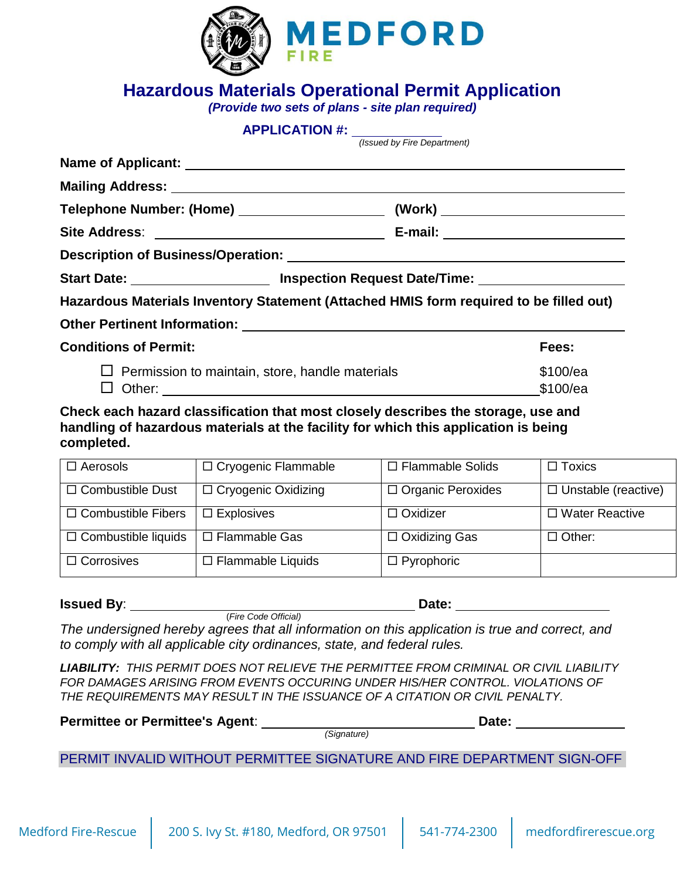

### **Hazardous Materials Operational Permit Application**

*(Provide two sets of plans - site plan required)* 

#### **APPLICATION #:**

*(Issued by Fire Department)*

|                                                        | Start Date: ___________________________ Inspection Request Date/Time: _________________ |
|--------------------------------------------------------|-----------------------------------------------------------------------------------------|
|                                                        | Hazardous Materials Inventory Statement (Attached HMIS form required to be filled out)  |
|                                                        |                                                                                         |
| <b>Conditions of Permit:</b>                           | Fees:                                                                                   |
| $\Box$ Permission to maintain, store, handle materials | \$100/ea                                                                                |

 $\Box$  Other:  $$100/ea$ 

**Check each hazard classification that most closely describes the storage, use and handling of hazardous materials at the facility for which this application is being completed.**

| $\Box$ Aerosols            | □ Cryogenic Flammable      | $\Box$ Flammable Solids  | $\Box$ Toxics              |
|----------------------------|----------------------------|--------------------------|----------------------------|
| $\Box$ Combustible Dust    | $\Box$ Cryogenic Oxidizing | $\Box$ Organic Peroxides | $\Box$ Unstable (reactive) |
| $\Box$ Combustible Fibers  | $\Box$ Explosives          | $\Box$ Oxidizer          | $\Box$ Water Reactive      |
| $\Box$ Combustible liquids | □ Flammable Gas            | $\Box$ Oxidizing Gas     | $\Box$ Other:              |
| $\Box$ Corrosives          | $\Box$ Flammable Liquids   | $\Box$ Pyrophoric        |                            |

#### **Issued By**: **Date: Date: Date: Date: Date: Date: Date: Date: Date: Date: Date: Date: Date: Date: Date: Date: Date: Date: Date: Date: Date: Date: Date: Date: Date: Date:**

*The undersigned hereby agrees that all information on this application is true and correct, and to comply with all applicable city ordinances, state, and federal rules.*

(*Fire Code Official)*

*LIABILITY: THIS PERMIT DOES NOT RELIEVE THE PERMITTEE FROM CRIMINAL OR CIVIL LIABILITY FOR DAMAGES ARISING FROM EVENTS OCCURING UNDER HIS/HER CONTROL. VIOLATIONS OF THE REQUIREMENTS MAY RESULT IN THE ISSUANCE OF A CITATION OR CIVIL PENALTY.*

| <b>Permittee or Permittee's Agent:</b> |             | Date: |
|----------------------------------------|-------------|-------|
|                                        | 'Signature) |       |

### PERMIT INVALID WITHOUT PERMITTEE SIGNATURE AND FIRE DEPARTMENT SIGN-OFF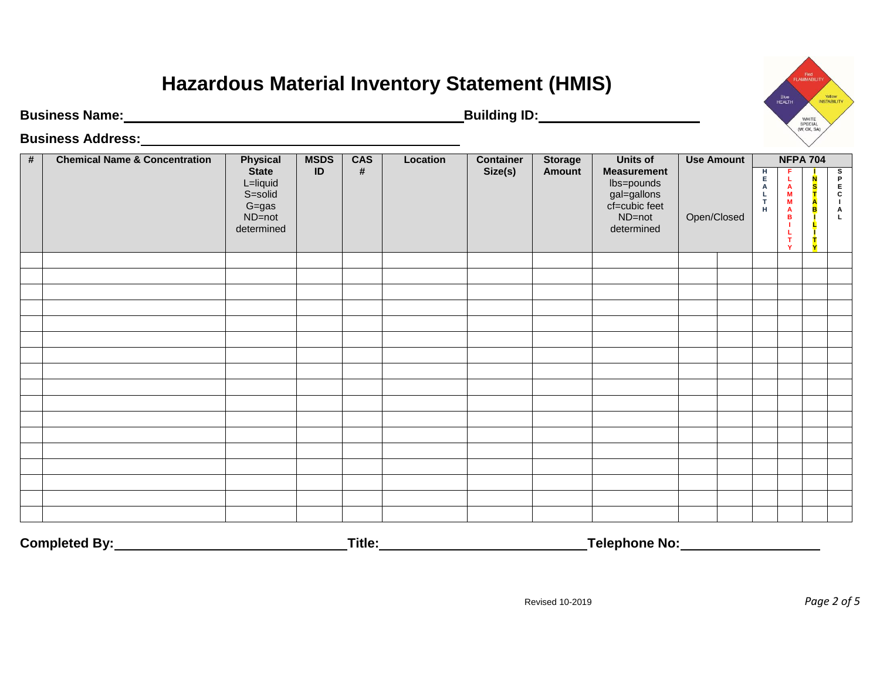## **Hazardous Material Inventory Statement (HMIS)**

**Business Name: Building ID:**

**Business Address:**

| # | <b>Chemical Name &amp; Concentration</b> | <b>Physical</b>                                                          | <b>MSDS</b> | <b>CAS</b> | Location | <b>Container</b> | <b>Storage</b> | <b>Units of</b>                                                                          |             | <b>Use Amount</b> |                         |                                            | <b>NFPA 704</b>        |                                                                                                  |
|---|------------------------------------------|--------------------------------------------------------------------------|-------------|------------|----------|------------------|----------------|------------------------------------------------------------------------------------------|-------------|-------------------|-------------------------|--------------------------------------------|------------------------|--------------------------------------------------------------------------------------------------|
|   |                                          | <b>State</b><br>L=liquid<br>S=solid<br>$G = gas$<br>ND=not<br>determined | ID          | $\#$       |          | Size(s)          | <b>Amount</b>  | <b>Measurement</b><br>lbs=pounds<br>gal=gallons<br>cf=cubic feet<br>ND=not<br>determined | Open/Closed |                   | н<br>E.<br>A<br>T<br>H. | F.<br>L<br>A<br>M<br>M<br>A<br>в<br>т<br>Y | N<br>s<br>$\mathbf{A}$ | s<br>$\mathsf P$<br>$\frac{E}{C}$<br>$\blacksquare$<br>$\boldsymbol{\mathsf{A}}$<br>$\mathsf{L}$ |
|   |                                          |                                                                          |             |            |          |                  |                |                                                                                          |             |                   |                         |                                            |                        |                                                                                                  |
|   |                                          |                                                                          |             |            |          |                  |                |                                                                                          |             |                   |                         |                                            |                        |                                                                                                  |
|   |                                          |                                                                          |             |            |          |                  |                |                                                                                          |             |                   |                         |                                            |                        |                                                                                                  |
|   |                                          |                                                                          |             |            |          |                  |                |                                                                                          |             |                   |                         |                                            |                        |                                                                                                  |
|   |                                          |                                                                          |             |            |          |                  |                |                                                                                          |             |                   |                         |                                            |                        |                                                                                                  |
|   |                                          |                                                                          |             |            |          |                  |                |                                                                                          |             |                   |                         |                                            |                        |                                                                                                  |
|   |                                          |                                                                          |             |            |          |                  |                |                                                                                          |             |                   |                         |                                            |                        |                                                                                                  |
|   |                                          |                                                                          |             |            |          |                  |                |                                                                                          |             |                   |                         |                                            |                        |                                                                                                  |
|   |                                          |                                                                          |             |            |          |                  |                |                                                                                          |             |                   |                         |                                            |                        |                                                                                                  |
|   |                                          |                                                                          |             |            |          |                  |                |                                                                                          |             |                   |                         |                                            |                        |                                                                                                  |
|   |                                          |                                                                          |             |            |          |                  |                |                                                                                          |             |                   |                         |                                            |                        |                                                                                                  |
|   |                                          |                                                                          |             |            |          |                  |                |                                                                                          |             |                   |                         |                                            |                        |                                                                                                  |
|   |                                          |                                                                          |             |            |          |                  |                |                                                                                          |             |                   |                         |                                            |                        |                                                                                                  |
|   |                                          |                                                                          |             |            |          |                  |                |                                                                                          |             |                   |                         |                                            |                        |                                                                                                  |
|   |                                          |                                                                          |             |            |          |                  |                |                                                                                          |             |                   |                         |                                            |                        |                                                                                                  |
|   |                                          |                                                                          |             |            |          |                  |                |                                                                                          |             |                   |                         |                                            |                        |                                                                                                  |
|   |                                          |                                                                          |             |            |          |                  |                |                                                                                          |             |                   |                         |                                            |                        |                                                                                                  |
|   |                                          |                                                                          |             |            |          |                  |                |                                                                                          |             |                   |                         |                                            |                        |                                                                                                  |

Completed By:\_\_\_\_\_\_\_\_\_\_\_\_\_\_\_\_\_\_\_\_\_\_\_\_\_\_\_\_\_\_\_\_\_\_\_Title:\_\_\_\_\_\_\_\_\_\_\_\_\_\_\_\_\_\_\_\_\_\_\_\_\_\_\_\_\_\_\_Telephone No:\_\_\_\_\_\_\_\_\_\_\_\_

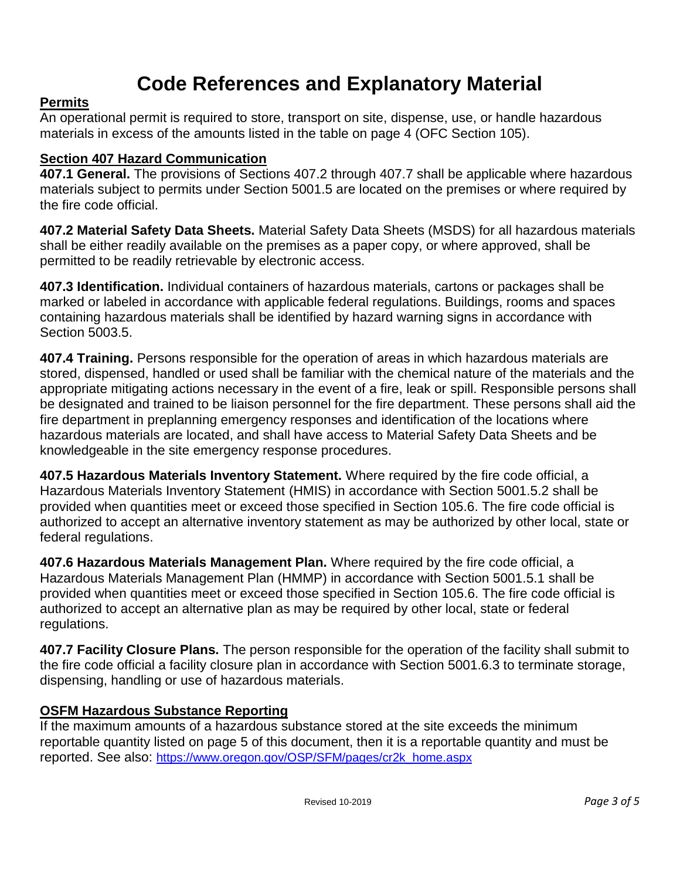### **Code References and Explanatory Material**

### **Permits**

An operational permit is required to store, transport on site, dispense, use, or handle hazardous materials in excess of the amounts listed in the table on page 4 (OFC Section 105).

### **Section 407 Hazard Communication**

**407.1 General.** The provisions of Sections 407.2 through 407.7 shall be applicable where hazardous materials subject to permits under Section 5001.5 are located on the premises or where required by the fire code official.

**407.2 Material Safety Data Sheets.** Material Safety Data Sheets (MSDS) for all hazardous materials shall be either readily available on the premises as a paper copy, or where approved, shall be permitted to be readily retrievable by electronic access.

**407.3 Identification.** Individual containers of hazardous materials, cartons or packages shall be marked or labeled in accordance with applicable federal regulations. Buildings, rooms and spaces containing hazardous materials shall be identified by hazard warning signs in accordance with Section 5003.5.

**407.4 Training.** Persons responsible for the operation of areas in which hazardous materials are stored, dispensed, handled or used shall be familiar with the chemical nature of the materials and the appropriate mitigating actions necessary in the event of a fire, leak or spill. Responsible persons shall be designated and trained to be liaison personnel for the fire department. These persons shall aid the fire department in preplanning emergency responses and identification of the locations where hazardous materials are located, and shall have access to Material Safety Data Sheets and be knowledgeable in the site emergency response procedures.

**407.5 Hazardous Materials Inventory Statement.** Where required by the fire code official, a Hazardous Materials Inventory Statement (HMIS) in accordance with Section 5001.5.2 shall be provided when quantities meet or exceed those specified in Section 105.6. The fire code official is authorized to accept an alternative inventory statement as may be authorized by other local, state or federal regulations.

**407.6 Hazardous Materials Management Plan.** Where required by the fire code official, a Hazardous Materials Management Plan (HMMP) in accordance with Section 5001.5.1 shall be provided when quantities meet or exceed those specified in Section 105.6. The fire code official is authorized to accept an alternative plan as may be required by other local, state or federal regulations.

**407.7 Facility Closure Plans.** The person responsible for the operation of the facility shall submit to the fire code official a facility closure plan in accordance with Section 5001.6.3 to terminate storage, dispensing, handling or use of hazardous materials.

### **OSFM Hazardous Substance Reporting**

If the maximum amounts of a hazardous substance stored at the site exceeds the minimum reportable quantity listed on page 5 of this document, then it is a reportable quantity and must be reported. See also: [https://www.oregon.gov/OSP/SFM/pages/cr2k\\_home.aspx](https://www.oregon.gov/OSP/SFM/pages/cr2k_home.aspx)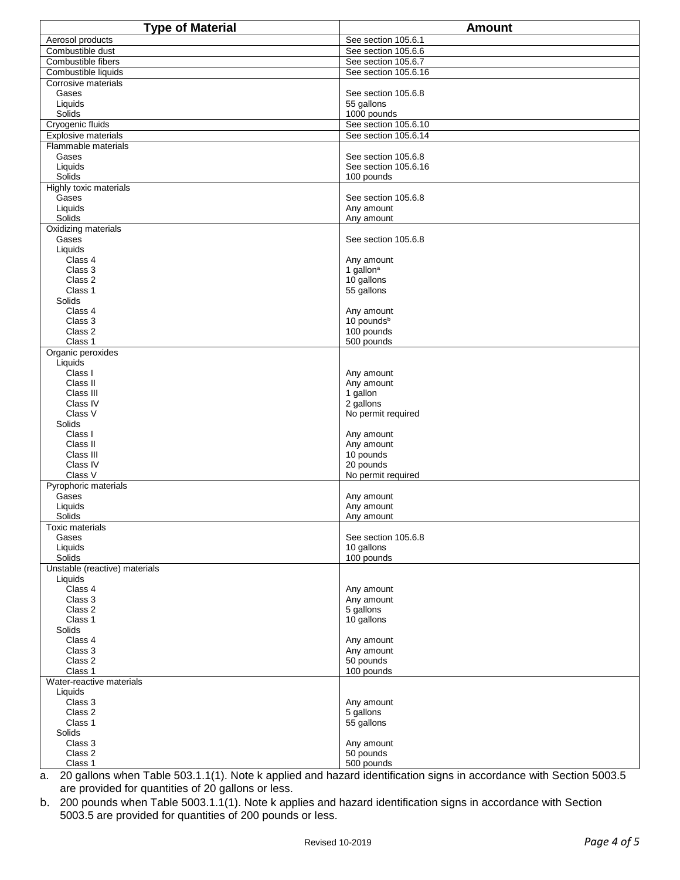| Aerosol products<br>See section 105.6.1<br>Combustible dust<br>See section 105.6.6<br>Combustible fibers<br>See section 105.6.7<br>Combustible liquids<br>See section 105.6.16<br>Corrosive materials<br>Gases<br>See section 105.6.8<br>Liquids<br>55 gallons<br>Solids<br>1000 pounds<br>Cryogenic fluids<br>See section 105.6.10<br>See section 105.6.14<br><b>Explosive materials</b><br>Flammable materials<br>Gases<br>See section 105.6.8<br>Liquids<br>See section 105.6.16<br>Solids<br>100 pounds<br>Highly toxic materials<br>Gases<br>See section 105.6.8<br>Liquids<br>Any amount<br>Solids<br>Any amount<br>Oxidizing materials<br>Gases<br>See section 105.6.8<br>Liquids<br>Class 4<br>Any amount<br>Class 3<br>1 gallon <sup>a</sup><br>Class 2<br>10 gallons<br>Class 1<br>55 gallons<br>Solids<br>Class 4<br>Any amount<br>10 pounds <sup>b</sup><br>Class 3<br>Class 2<br>100 pounds<br>Class 1<br>500 pounds<br>Organic peroxides<br>Liquids<br>Class I<br>Any amount<br>Class II<br>Any amount<br>Class III<br>1 gallon<br>Class IV<br>2 gallons<br>Class V<br>No permit required<br>Solids<br>Class I<br>Any amount<br>Class II<br>Any amount<br>Class III<br>10 pounds<br>Class IV<br>20 pounds<br>Class V<br>No permit required<br>Pyrophoric materials<br>Gases<br>Any amount<br>Liquids<br>Any amount<br>Solids<br>Any amount<br>Toxic materials<br>See section 105.6.8<br>Gases<br>Liquids<br>10 gallons<br>100 pounds<br>Solids<br>Unstable (reactive) materials<br>Liquids<br>Class 4<br>Any amount<br>Class 3<br>Any amount<br>Class 2<br>5 gallons<br>Class 1<br>10 gallons<br>Solids<br>Class 4<br>Any amount<br>Class 3<br>Any amount<br>Class 2<br>50 pounds<br>Class 1<br>100 pounds<br>Water-reactive materials<br>Liquids<br>Class 3<br>Any amount<br>Class 2<br>5 gallons<br>Class 1<br>55 gallons<br>Solids<br>Class 3<br>Any amount<br>Class 2<br>50 pounds | <b>Type of Material</b> | <b>Amount</b> |
|------------------------------------------------------------------------------------------------------------------------------------------------------------------------------------------------------------------------------------------------------------------------------------------------------------------------------------------------------------------------------------------------------------------------------------------------------------------------------------------------------------------------------------------------------------------------------------------------------------------------------------------------------------------------------------------------------------------------------------------------------------------------------------------------------------------------------------------------------------------------------------------------------------------------------------------------------------------------------------------------------------------------------------------------------------------------------------------------------------------------------------------------------------------------------------------------------------------------------------------------------------------------------------------------------------------------------------------------------------------------------------------------------------------------------------------------------------------------------------------------------------------------------------------------------------------------------------------------------------------------------------------------------------------------------------------------------------------------------------------------------------------------------------------------------------------------------------------------------------------------------------------------------|-------------------------|---------------|
|                                                                                                                                                                                                                                                                                                                                                                                                                                                                                                                                                                                                                                                                                                                                                                                                                                                                                                                                                                                                                                                                                                                                                                                                                                                                                                                                                                                                                                                                                                                                                                                                                                                                                                                                                                                                                                                                                                      |                         |               |
|                                                                                                                                                                                                                                                                                                                                                                                                                                                                                                                                                                                                                                                                                                                                                                                                                                                                                                                                                                                                                                                                                                                                                                                                                                                                                                                                                                                                                                                                                                                                                                                                                                                                                                                                                                                                                                                                                                      |                         |               |
|                                                                                                                                                                                                                                                                                                                                                                                                                                                                                                                                                                                                                                                                                                                                                                                                                                                                                                                                                                                                                                                                                                                                                                                                                                                                                                                                                                                                                                                                                                                                                                                                                                                                                                                                                                                                                                                                                                      |                         |               |
|                                                                                                                                                                                                                                                                                                                                                                                                                                                                                                                                                                                                                                                                                                                                                                                                                                                                                                                                                                                                                                                                                                                                                                                                                                                                                                                                                                                                                                                                                                                                                                                                                                                                                                                                                                                                                                                                                                      |                         |               |
|                                                                                                                                                                                                                                                                                                                                                                                                                                                                                                                                                                                                                                                                                                                                                                                                                                                                                                                                                                                                                                                                                                                                                                                                                                                                                                                                                                                                                                                                                                                                                                                                                                                                                                                                                                                                                                                                                                      |                         |               |
|                                                                                                                                                                                                                                                                                                                                                                                                                                                                                                                                                                                                                                                                                                                                                                                                                                                                                                                                                                                                                                                                                                                                                                                                                                                                                                                                                                                                                                                                                                                                                                                                                                                                                                                                                                                                                                                                                                      |                         |               |
|                                                                                                                                                                                                                                                                                                                                                                                                                                                                                                                                                                                                                                                                                                                                                                                                                                                                                                                                                                                                                                                                                                                                                                                                                                                                                                                                                                                                                                                                                                                                                                                                                                                                                                                                                                                                                                                                                                      |                         |               |
|                                                                                                                                                                                                                                                                                                                                                                                                                                                                                                                                                                                                                                                                                                                                                                                                                                                                                                                                                                                                                                                                                                                                                                                                                                                                                                                                                                                                                                                                                                                                                                                                                                                                                                                                                                                                                                                                                                      |                         |               |
|                                                                                                                                                                                                                                                                                                                                                                                                                                                                                                                                                                                                                                                                                                                                                                                                                                                                                                                                                                                                                                                                                                                                                                                                                                                                                                                                                                                                                                                                                                                                                                                                                                                                                                                                                                                                                                                                                                      |                         |               |
|                                                                                                                                                                                                                                                                                                                                                                                                                                                                                                                                                                                                                                                                                                                                                                                                                                                                                                                                                                                                                                                                                                                                                                                                                                                                                                                                                                                                                                                                                                                                                                                                                                                                                                                                                                                                                                                                                                      |                         |               |
|                                                                                                                                                                                                                                                                                                                                                                                                                                                                                                                                                                                                                                                                                                                                                                                                                                                                                                                                                                                                                                                                                                                                                                                                                                                                                                                                                                                                                                                                                                                                                                                                                                                                                                                                                                                                                                                                                                      |                         |               |
|                                                                                                                                                                                                                                                                                                                                                                                                                                                                                                                                                                                                                                                                                                                                                                                                                                                                                                                                                                                                                                                                                                                                                                                                                                                                                                                                                                                                                                                                                                                                                                                                                                                                                                                                                                                                                                                                                                      |                         |               |
|                                                                                                                                                                                                                                                                                                                                                                                                                                                                                                                                                                                                                                                                                                                                                                                                                                                                                                                                                                                                                                                                                                                                                                                                                                                                                                                                                                                                                                                                                                                                                                                                                                                                                                                                                                                                                                                                                                      |                         |               |
|                                                                                                                                                                                                                                                                                                                                                                                                                                                                                                                                                                                                                                                                                                                                                                                                                                                                                                                                                                                                                                                                                                                                                                                                                                                                                                                                                                                                                                                                                                                                                                                                                                                                                                                                                                                                                                                                                                      |                         |               |
|                                                                                                                                                                                                                                                                                                                                                                                                                                                                                                                                                                                                                                                                                                                                                                                                                                                                                                                                                                                                                                                                                                                                                                                                                                                                                                                                                                                                                                                                                                                                                                                                                                                                                                                                                                                                                                                                                                      |                         |               |
|                                                                                                                                                                                                                                                                                                                                                                                                                                                                                                                                                                                                                                                                                                                                                                                                                                                                                                                                                                                                                                                                                                                                                                                                                                                                                                                                                                                                                                                                                                                                                                                                                                                                                                                                                                                                                                                                                                      |                         |               |
|                                                                                                                                                                                                                                                                                                                                                                                                                                                                                                                                                                                                                                                                                                                                                                                                                                                                                                                                                                                                                                                                                                                                                                                                                                                                                                                                                                                                                                                                                                                                                                                                                                                                                                                                                                                                                                                                                                      |                         |               |
|                                                                                                                                                                                                                                                                                                                                                                                                                                                                                                                                                                                                                                                                                                                                                                                                                                                                                                                                                                                                                                                                                                                                                                                                                                                                                                                                                                                                                                                                                                                                                                                                                                                                                                                                                                                                                                                                                                      |                         |               |
|                                                                                                                                                                                                                                                                                                                                                                                                                                                                                                                                                                                                                                                                                                                                                                                                                                                                                                                                                                                                                                                                                                                                                                                                                                                                                                                                                                                                                                                                                                                                                                                                                                                                                                                                                                                                                                                                                                      |                         |               |
|                                                                                                                                                                                                                                                                                                                                                                                                                                                                                                                                                                                                                                                                                                                                                                                                                                                                                                                                                                                                                                                                                                                                                                                                                                                                                                                                                                                                                                                                                                                                                                                                                                                                                                                                                                                                                                                                                                      |                         |               |
|                                                                                                                                                                                                                                                                                                                                                                                                                                                                                                                                                                                                                                                                                                                                                                                                                                                                                                                                                                                                                                                                                                                                                                                                                                                                                                                                                                                                                                                                                                                                                                                                                                                                                                                                                                                                                                                                                                      |                         |               |
|                                                                                                                                                                                                                                                                                                                                                                                                                                                                                                                                                                                                                                                                                                                                                                                                                                                                                                                                                                                                                                                                                                                                                                                                                                                                                                                                                                                                                                                                                                                                                                                                                                                                                                                                                                                                                                                                                                      |                         |               |
|                                                                                                                                                                                                                                                                                                                                                                                                                                                                                                                                                                                                                                                                                                                                                                                                                                                                                                                                                                                                                                                                                                                                                                                                                                                                                                                                                                                                                                                                                                                                                                                                                                                                                                                                                                                                                                                                                                      |                         |               |
|                                                                                                                                                                                                                                                                                                                                                                                                                                                                                                                                                                                                                                                                                                                                                                                                                                                                                                                                                                                                                                                                                                                                                                                                                                                                                                                                                                                                                                                                                                                                                                                                                                                                                                                                                                                                                                                                                                      |                         |               |
|                                                                                                                                                                                                                                                                                                                                                                                                                                                                                                                                                                                                                                                                                                                                                                                                                                                                                                                                                                                                                                                                                                                                                                                                                                                                                                                                                                                                                                                                                                                                                                                                                                                                                                                                                                                                                                                                                                      |                         |               |
|                                                                                                                                                                                                                                                                                                                                                                                                                                                                                                                                                                                                                                                                                                                                                                                                                                                                                                                                                                                                                                                                                                                                                                                                                                                                                                                                                                                                                                                                                                                                                                                                                                                                                                                                                                                                                                                                                                      |                         |               |
|                                                                                                                                                                                                                                                                                                                                                                                                                                                                                                                                                                                                                                                                                                                                                                                                                                                                                                                                                                                                                                                                                                                                                                                                                                                                                                                                                                                                                                                                                                                                                                                                                                                                                                                                                                                                                                                                                                      |                         |               |
|                                                                                                                                                                                                                                                                                                                                                                                                                                                                                                                                                                                                                                                                                                                                                                                                                                                                                                                                                                                                                                                                                                                                                                                                                                                                                                                                                                                                                                                                                                                                                                                                                                                                                                                                                                                                                                                                                                      |                         |               |
|                                                                                                                                                                                                                                                                                                                                                                                                                                                                                                                                                                                                                                                                                                                                                                                                                                                                                                                                                                                                                                                                                                                                                                                                                                                                                                                                                                                                                                                                                                                                                                                                                                                                                                                                                                                                                                                                                                      |                         |               |
|                                                                                                                                                                                                                                                                                                                                                                                                                                                                                                                                                                                                                                                                                                                                                                                                                                                                                                                                                                                                                                                                                                                                                                                                                                                                                                                                                                                                                                                                                                                                                                                                                                                                                                                                                                                                                                                                                                      |                         |               |
|                                                                                                                                                                                                                                                                                                                                                                                                                                                                                                                                                                                                                                                                                                                                                                                                                                                                                                                                                                                                                                                                                                                                                                                                                                                                                                                                                                                                                                                                                                                                                                                                                                                                                                                                                                                                                                                                                                      |                         |               |
|                                                                                                                                                                                                                                                                                                                                                                                                                                                                                                                                                                                                                                                                                                                                                                                                                                                                                                                                                                                                                                                                                                                                                                                                                                                                                                                                                                                                                                                                                                                                                                                                                                                                                                                                                                                                                                                                                                      |                         |               |
|                                                                                                                                                                                                                                                                                                                                                                                                                                                                                                                                                                                                                                                                                                                                                                                                                                                                                                                                                                                                                                                                                                                                                                                                                                                                                                                                                                                                                                                                                                                                                                                                                                                                                                                                                                                                                                                                                                      |                         |               |
|                                                                                                                                                                                                                                                                                                                                                                                                                                                                                                                                                                                                                                                                                                                                                                                                                                                                                                                                                                                                                                                                                                                                                                                                                                                                                                                                                                                                                                                                                                                                                                                                                                                                                                                                                                                                                                                                                                      |                         |               |
|                                                                                                                                                                                                                                                                                                                                                                                                                                                                                                                                                                                                                                                                                                                                                                                                                                                                                                                                                                                                                                                                                                                                                                                                                                                                                                                                                                                                                                                                                                                                                                                                                                                                                                                                                                                                                                                                                                      |                         |               |
|                                                                                                                                                                                                                                                                                                                                                                                                                                                                                                                                                                                                                                                                                                                                                                                                                                                                                                                                                                                                                                                                                                                                                                                                                                                                                                                                                                                                                                                                                                                                                                                                                                                                                                                                                                                                                                                                                                      |                         |               |
|                                                                                                                                                                                                                                                                                                                                                                                                                                                                                                                                                                                                                                                                                                                                                                                                                                                                                                                                                                                                                                                                                                                                                                                                                                                                                                                                                                                                                                                                                                                                                                                                                                                                                                                                                                                                                                                                                                      |                         |               |
|                                                                                                                                                                                                                                                                                                                                                                                                                                                                                                                                                                                                                                                                                                                                                                                                                                                                                                                                                                                                                                                                                                                                                                                                                                                                                                                                                                                                                                                                                                                                                                                                                                                                                                                                                                                                                                                                                                      |                         |               |
|                                                                                                                                                                                                                                                                                                                                                                                                                                                                                                                                                                                                                                                                                                                                                                                                                                                                                                                                                                                                                                                                                                                                                                                                                                                                                                                                                                                                                                                                                                                                                                                                                                                                                                                                                                                                                                                                                                      |                         |               |
|                                                                                                                                                                                                                                                                                                                                                                                                                                                                                                                                                                                                                                                                                                                                                                                                                                                                                                                                                                                                                                                                                                                                                                                                                                                                                                                                                                                                                                                                                                                                                                                                                                                                                                                                                                                                                                                                                                      |                         |               |
|                                                                                                                                                                                                                                                                                                                                                                                                                                                                                                                                                                                                                                                                                                                                                                                                                                                                                                                                                                                                                                                                                                                                                                                                                                                                                                                                                                                                                                                                                                                                                                                                                                                                                                                                                                                                                                                                                                      |                         |               |
|                                                                                                                                                                                                                                                                                                                                                                                                                                                                                                                                                                                                                                                                                                                                                                                                                                                                                                                                                                                                                                                                                                                                                                                                                                                                                                                                                                                                                                                                                                                                                                                                                                                                                                                                                                                                                                                                                                      |                         |               |
|                                                                                                                                                                                                                                                                                                                                                                                                                                                                                                                                                                                                                                                                                                                                                                                                                                                                                                                                                                                                                                                                                                                                                                                                                                                                                                                                                                                                                                                                                                                                                                                                                                                                                                                                                                                                                                                                                                      |                         |               |
|                                                                                                                                                                                                                                                                                                                                                                                                                                                                                                                                                                                                                                                                                                                                                                                                                                                                                                                                                                                                                                                                                                                                                                                                                                                                                                                                                                                                                                                                                                                                                                                                                                                                                                                                                                                                                                                                                                      |                         |               |
|                                                                                                                                                                                                                                                                                                                                                                                                                                                                                                                                                                                                                                                                                                                                                                                                                                                                                                                                                                                                                                                                                                                                                                                                                                                                                                                                                                                                                                                                                                                                                                                                                                                                                                                                                                                                                                                                                                      |                         |               |
|                                                                                                                                                                                                                                                                                                                                                                                                                                                                                                                                                                                                                                                                                                                                                                                                                                                                                                                                                                                                                                                                                                                                                                                                                                                                                                                                                                                                                                                                                                                                                                                                                                                                                                                                                                                                                                                                                                      |                         |               |
|                                                                                                                                                                                                                                                                                                                                                                                                                                                                                                                                                                                                                                                                                                                                                                                                                                                                                                                                                                                                                                                                                                                                                                                                                                                                                                                                                                                                                                                                                                                                                                                                                                                                                                                                                                                                                                                                                                      |                         |               |
|                                                                                                                                                                                                                                                                                                                                                                                                                                                                                                                                                                                                                                                                                                                                                                                                                                                                                                                                                                                                                                                                                                                                                                                                                                                                                                                                                                                                                                                                                                                                                                                                                                                                                                                                                                                                                                                                                                      |                         |               |
|                                                                                                                                                                                                                                                                                                                                                                                                                                                                                                                                                                                                                                                                                                                                                                                                                                                                                                                                                                                                                                                                                                                                                                                                                                                                                                                                                                                                                                                                                                                                                                                                                                                                                                                                                                                                                                                                                                      |                         |               |
|                                                                                                                                                                                                                                                                                                                                                                                                                                                                                                                                                                                                                                                                                                                                                                                                                                                                                                                                                                                                                                                                                                                                                                                                                                                                                                                                                                                                                                                                                                                                                                                                                                                                                                                                                                                                                                                                                                      |                         |               |
|                                                                                                                                                                                                                                                                                                                                                                                                                                                                                                                                                                                                                                                                                                                                                                                                                                                                                                                                                                                                                                                                                                                                                                                                                                                                                                                                                                                                                                                                                                                                                                                                                                                                                                                                                                                                                                                                                                      |                         |               |
|                                                                                                                                                                                                                                                                                                                                                                                                                                                                                                                                                                                                                                                                                                                                                                                                                                                                                                                                                                                                                                                                                                                                                                                                                                                                                                                                                                                                                                                                                                                                                                                                                                                                                                                                                                                                                                                                                                      |                         |               |
|                                                                                                                                                                                                                                                                                                                                                                                                                                                                                                                                                                                                                                                                                                                                                                                                                                                                                                                                                                                                                                                                                                                                                                                                                                                                                                                                                                                                                                                                                                                                                                                                                                                                                                                                                                                                                                                                                                      |                         |               |
|                                                                                                                                                                                                                                                                                                                                                                                                                                                                                                                                                                                                                                                                                                                                                                                                                                                                                                                                                                                                                                                                                                                                                                                                                                                                                                                                                                                                                                                                                                                                                                                                                                                                                                                                                                                                                                                                                                      |                         |               |
|                                                                                                                                                                                                                                                                                                                                                                                                                                                                                                                                                                                                                                                                                                                                                                                                                                                                                                                                                                                                                                                                                                                                                                                                                                                                                                                                                                                                                                                                                                                                                                                                                                                                                                                                                                                                                                                                                                      |                         |               |
|                                                                                                                                                                                                                                                                                                                                                                                                                                                                                                                                                                                                                                                                                                                                                                                                                                                                                                                                                                                                                                                                                                                                                                                                                                                                                                                                                                                                                                                                                                                                                                                                                                                                                                                                                                                                                                                                                                      |                         |               |
|                                                                                                                                                                                                                                                                                                                                                                                                                                                                                                                                                                                                                                                                                                                                                                                                                                                                                                                                                                                                                                                                                                                                                                                                                                                                                                                                                                                                                                                                                                                                                                                                                                                                                                                                                                                                                                                                                                      |                         |               |
|                                                                                                                                                                                                                                                                                                                                                                                                                                                                                                                                                                                                                                                                                                                                                                                                                                                                                                                                                                                                                                                                                                                                                                                                                                                                                                                                                                                                                                                                                                                                                                                                                                                                                                                                                                                                                                                                                                      |                         |               |
|                                                                                                                                                                                                                                                                                                                                                                                                                                                                                                                                                                                                                                                                                                                                                                                                                                                                                                                                                                                                                                                                                                                                                                                                                                                                                                                                                                                                                                                                                                                                                                                                                                                                                                                                                                                                                                                                                                      |                         |               |
|                                                                                                                                                                                                                                                                                                                                                                                                                                                                                                                                                                                                                                                                                                                                                                                                                                                                                                                                                                                                                                                                                                                                                                                                                                                                                                                                                                                                                                                                                                                                                                                                                                                                                                                                                                                                                                                                                                      |                         |               |
|                                                                                                                                                                                                                                                                                                                                                                                                                                                                                                                                                                                                                                                                                                                                                                                                                                                                                                                                                                                                                                                                                                                                                                                                                                                                                                                                                                                                                                                                                                                                                                                                                                                                                                                                                                                                                                                                                                      |                         |               |
|                                                                                                                                                                                                                                                                                                                                                                                                                                                                                                                                                                                                                                                                                                                                                                                                                                                                                                                                                                                                                                                                                                                                                                                                                                                                                                                                                                                                                                                                                                                                                                                                                                                                                                                                                                                                                                                                                                      |                         |               |
|                                                                                                                                                                                                                                                                                                                                                                                                                                                                                                                                                                                                                                                                                                                                                                                                                                                                                                                                                                                                                                                                                                                                                                                                                                                                                                                                                                                                                                                                                                                                                                                                                                                                                                                                                                                                                                                                                                      |                         |               |
|                                                                                                                                                                                                                                                                                                                                                                                                                                                                                                                                                                                                                                                                                                                                                                                                                                                                                                                                                                                                                                                                                                                                                                                                                                                                                                                                                                                                                                                                                                                                                                                                                                                                                                                                                                                                                                                                                                      |                         |               |
|                                                                                                                                                                                                                                                                                                                                                                                                                                                                                                                                                                                                                                                                                                                                                                                                                                                                                                                                                                                                                                                                                                                                                                                                                                                                                                                                                                                                                                                                                                                                                                                                                                                                                                                                                                                                                                                                                                      |                         |               |
|                                                                                                                                                                                                                                                                                                                                                                                                                                                                                                                                                                                                                                                                                                                                                                                                                                                                                                                                                                                                                                                                                                                                                                                                                                                                                                                                                                                                                                                                                                                                                                                                                                                                                                                                                                                                                                                                                                      |                         |               |
|                                                                                                                                                                                                                                                                                                                                                                                                                                                                                                                                                                                                                                                                                                                                                                                                                                                                                                                                                                                                                                                                                                                                                                                                                                                                                                                                                                                                                                                                                                                                                                                                                                                                                                                                                                                                                                                                                                      |                         |               |
|                                                                                                                                                                                                                                                                                                                                                                                                                                                                                                                                                                                                                                                                                                                                                                                                                                                                                                                                                                                                                                                                                                                                                                                                                                                                                                                                                                                                                                                                                                                                                                                                                                                                                                                                                                                                                                                                                                      | Class 1                 | 500 pounds    |

a. 20 gallons when Table 503.1.1(1). Note k applied and hazard identification signs in accordance with Section 5003.5 are provided for quantities of 20 gallons or less.

b. 200 pounds when Table 5003.1.1(1). Note k applies and hazard identification signs in accordance with Section 5003.5 are provided for quantities of 200 pounds or less.